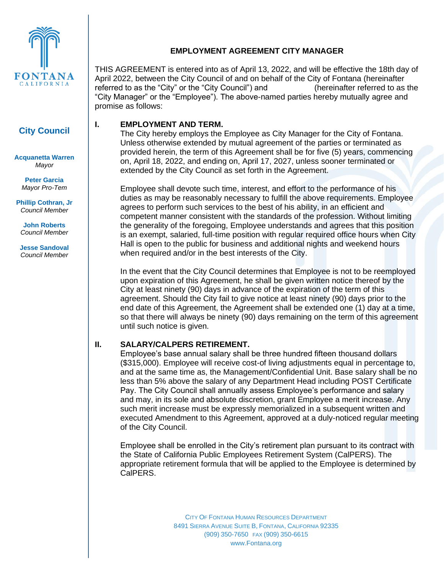

# **City Council**

**Acquanetta Warren** *Mayor*

**Peter Garcia** *Mayor Pro-Tem*

**Phillip Cothran, Jr** *Council Member*

**John Roberts** *Council Member*

**Jesse Sandoval** *Council Member*

## **EMPLOYMENT AGREEMENT CITY MANAGER**

THIS AGREEMENT is entered into as of April 13, 2022, and will be effective the 18th day of April 2022, between the City Council of and on behalf of the City of Fontana (hereinafter referred to as the "City" or the "City Council") and (hereinafter referred to as the "City Manager" or the "Employee"). The above-named parties hereby mutually agree and promise as follows:

## **I. EMPLOYMENT AND TERM.**

The City hereby employs the Employee as City Manager for the City of Fontana. Unless otherwise extended by mutual agreement of the parties or terminated as provided herein, the term of this Agreement shall be for five (5) years, commencing on, April 18, 2022, and ending on, April 17, 2027, unless sooner terminated or extended by the City Council as set forth in the Agreement.

Employee shall devote such time, interest, and effort to the performance of his duties as may be reasonably necessary to fulfill the above requirements. Employee agrees to perform such services to the best of his ability, in an efficient and competent manner consistent with the standards of the profession. Without limiting the generality of the foregoing, Employee understands and agrees that this position is an exempt, salaried, full-time position with regular required office hours when City Hall is open to the public for business and additional nights and weekend hours when required and/or in the best interests of the City.

In the event that the City Council determines that Employee is not to be reemployed upon expiration of this Agreement, he shall be given written notice thereof by the City at least ninety (90) days in advance of the expiration of the term of this agreement. Should the City fail to give notice at least ninety (90) days prior to the end date of this Agreement, the Agreement shall be extended one (1) day at a time, so that there will always be ninety (90) days remaining on the term of this agreement until such notice is given.

## **II. SALARY/CALPERS RETIREMENT.**

Employee's base annual salary shall be three hundred fifteen thousand dollars (\$315,000). Employee will receive cost-of living adjustments equal in percentage to, and at the same time as, the Management/Confidential Unit. Base salary shall be no less than 5% above the salary of any Department Head including POST Certificate Pay. The City Council shall annually assess Employee's performance and salary and may, in its sole and absolute discretion, grant Employee a merit increase. Any such merit increase must be expressly memorialized in a subsequent written and executed Amendment to this Agreement, approved at a duly-noticed regular meeting of the City Council.

Employee shall be enrolled in the City's retirement plan pursuant to its contract with the State of California Public Employees Retirement System (CalPERS). The appropriate retirement formula that will be applied to the Employee is determined by CalPERS.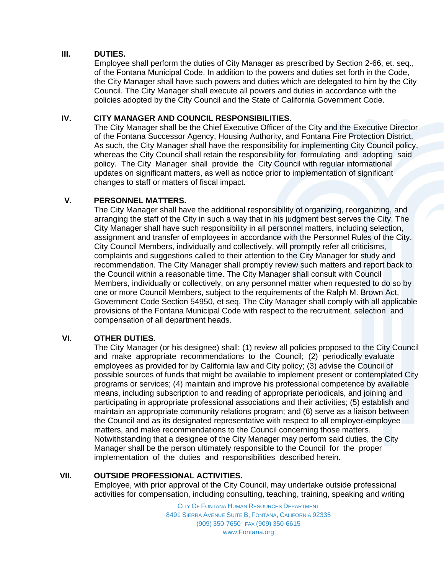## **III. DUTIES.**

Employee shall perform the duties of City Manager as prescribed by Section 2-66, et. seq., of the Fontana Municipal Code. In addition to the powers and duties set forth in the Code, the City Manager shall have such powers and duties which are delegated to him by the City Council. The City Manager shall execute all powers and duties in accordance with the policies adopted by the City Council and the State of California Government Code.

### **IV. CITY MANAGER AND COUNCIL RESPONSIBILITIES.**

The City Manager shall be the Chief Executive Officer of the City and the Executive Director of the Fontana Successor Agency, Housing Authority, and Fontana Fire Protection District. As such, the City Manager shall have the responsibility for implementing City Council policy, whereas the City Council shall retain the responsibility for formulating and adopting said policy. The City Manager shall provide the City Council with regular informational updates on significant matters, as well as notice prior to implementation of significant changes to staff or matters of fiscal impact.

## **V. PERSONNEL MATTERS.**

The City Manager shall have the additional responsibility of organizing, reorganizing, and arranging the staff of the City in such a way that in his judgment best serves the City. The City Manager shall have such responsibility in all personnel matters, including selection, assignment and transfer of employees in accordance with the Personnel Rules of the City. City Council Members, individually and collectively, will promptly refer all criticisms, complaints and suggestions called to their attention to the City Manager for study and recommendation. The City Manager shall promptly review such matters and report back to the Council within a reasonable time. The City Manager shall consult with Council Members, individually or collectively, on any personnel matter when requested to do so by one or more Council Members, subject to the requirements of the Ralph M. Brown Act, Government Code Section 54950, et seq. The City Manager shall comply with all applicable provisions of the Fontana Municipal Code with respect to the recruitment, selection and compensation of all department heads.

## **VI. OTHER DUTIES.**

The City Manager (or his designee) shall: (1) review all policies proposed to the City Council and make appropriate recommendations to the Council; (2) periodically evaluate employees as provided for by California law and City policy; (3) advise the Council of possible sources of funds that might be available to implement present or contemplated City programs or services; (4) maintain and improve his professional competence by available means, including subscription to and reading of appropriate periodicals, and joining and participating in appropriate professional associations and their activities; (5) establish and maintain an appropriate community relations program; and (6) serve as a liaison between the Council and as its designated representative with respect to all employer-employee matters, and make recommendations to the Council concerning those matters. Notwithstanding that a designee of the City Manager may perform said duties, the City Manager shall be the person ultimately responsible to the Council for the proper implementation of the duties and responsibilities described herein.

## **VII. OUTSIDE PROFESSIONAL ACTIVITIES.**

Employee, with prior approval of the City Council, may undertake outside professional activities for compensation, including consulting, teaching, training, speaking and writing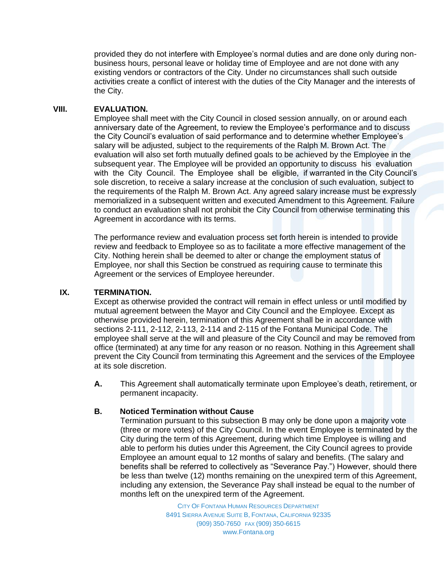provided they do not interfere with Employee's normal duties and are done only during nonbusiness hours, personal leave or holiday time of Employee and are not done with any existing vendors or contractors of the City. Under no circumstances shall such outside activities create a conflict of interest with the duties of the City Manager and the interests of the City.

#### **VIII. EVALUATION.**

Employee shall meet with the City Council in closed session annually, on or around each anniversary date of the Agreement, to review the Employee's performance and to discuss the City Council's evaluation of said performance and to determine whether Employee's salary will be adjusted, subject to the requirements of the Ralph M. Brown Act. The evaluation will also set forth mutually defined goals to be achieved by the Employee in the subsequent year. The Employee will be provided an opportunity to discuss his evaluation with the City Council. The Employee shall be eligible, if warranted in the City Council's sole discretion, to receive a salary increase at the conclusion of such evaluation, subject to the requirements of the Ralph M. Brown Act. Any agreed salary increase must be expressly memorialized in a subsequent written and executed Amendment to this Agreement. Failure to conduct an evaluation shall not prohibit the City Council from otherwise terminating this Agreement in accordance with its terms.

The performance review and evaluation process set forth herein is intended to provide review and feedback to Employee so as to facilitate a more effective management of the City. Nothing herein shall be deemed to alter or change the employment status of Employee, nor shall this Section be construed as requiring cause to terminate this Agreement or the services of Employee hereunder.

## **IX. TERMINATION.**

Except as otherwise provided the contract will remain in effect unless or until modified by mutual agreement between the Mayor and City Council and the Employee. Except as otherwise provided herein, termination of this Agreement shall be in accordance with sections 2-111, 2-112, 2-113, 2-114 and 2-115 of the Fontana Municipal Code. The employee shall serve at the will and pleasure of the City Council and may be removed from office (terminated) at any time for any reason or no reason. Nothing in this Agreement shall prevent the City Council from terminating this Agreement and the services of the Employee at its sole discretion.

**A.** This Agreement shall automatically terminate upon Employee's death, retirement, or permanent incapacity.

## **B. Noticed Termination without Cause**

Termination pursuant to this subsection B may only be done upon a majority vote (three or more votes) of the City Council. In the event Employee is terminated by the City during the term of this Agreement, during which time Employee is willing and able to perform his duties under this Agreement, the City Council agrees to provide Employee an amount equal to 12 months of salary and benefits. (The salary and benefits shall be referred to collectively as "Severance Pay.") However, should there be less than twelve (12) months remaining on the unexpired term of this Agreement, including any extension, the Severance Pay shall instead be equal to the number of months left on the unexpired term of the Agreement.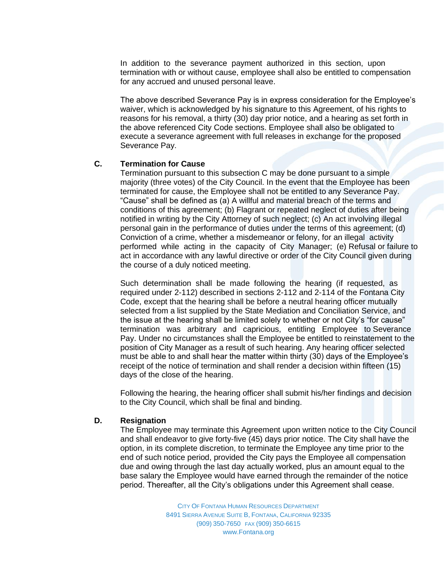In addition to the severance payment authorized in this section, upon termination with or without cause, employee shall also be entitled to compensation for any accrued and unused personal leave.

The above described Severance Pay is in express consideration for the Employee's waiver, which is acknowledged by his signature to this Agreement, of his rights to reasons for his removal, a thirty (30) day prior notice, and a hearing as set forth in the above referenced City Code sections. Employee shall also be obligated to execute a severance agreement with full releases in exchange for the proposed Severance Pay.

#### **C. Termination for Cause**

Termination pursuant to this subsection C may be done pursuant to a simple majority (three votes) of the City Council. In the event that the Employee has been terminated for cause, the Employee shall not be entitled to any Severance Pay. "Cause" shall be defined as (a) A willful and material breach of the terms and conditions of this agreement; (b) Flagrant or repeated neglect of duties after being notified in writing by the City Attorney of such neglect; (c) An act involving illegal personal gain in the performance of duties under the terms of this agreement; (d) Conviction of a crime, whether a misdemeanor or felony, for an illegal activity performed while acting in the capacity of City Manager; (e) Refusal or failure to act in accordance with any lawful directive or order of the City Council given during the course of a duly noticed meeting.

Such determination shall be made following the hearing (if requested, as required under 2-112) described in sections 2-112 and 2-114 of the Fontana City Code, except that the hearing shall be before a neutral hearing officer mutually selected from a list supplied by the State Mediation and Conciliation Service, and the issue at the hearing shall be limited solely to whether or not City's "for cause" termination was arbitrary and capricious, entitling Employee to Severance Pay. Under no circumstances shall the Employee be entitled to reinstatement to the position of City Manager as a result of such hearing. Any hearing officer selected must be able to and shall hear the matter within thirty (30) days of the Employee's receipt of the notice of termination and shall render a decision within fifteen (15) days of the close of the hearing.

Following the hearing, the hearing officer shall submit his/her findings and decision to the City Council, which shall be final and binding.

#### **D. Resignation**

The Employee may terminate this Agreement upon written notice to the City Council and shall endeavor to give forty-five (45) days prior notice. The City shall have the option, in its complete discretion, to terminate the Employee any time prior to the end of such notice period, provided the City pays the Employee all compensation due and owing through the last day actually worked, plus an amount equal to the base salary the Employee would have earned through the remainder of the notice period. Thereafter, all the City's obligations under this Agreement shall cease.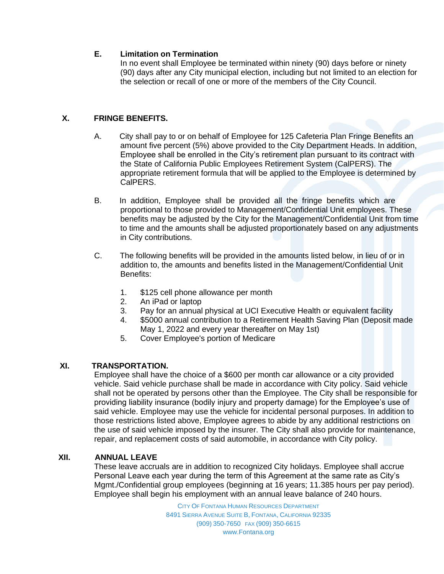## **E. Limitation on Termination**

In no event shall Employee be terminated within ninety (90) days before or ninety (90) days after any City municipal election, including but not limited to an election for the selection or recall of one or more of the members of the City Council.

## **X. FRINGE BENEFITS.**

- A. City shall pay to or on behalf of Employee for 125 Cafeteria Plan Fringe Benefits an amount five percent (5%) above provided to the City Department Heads. In addition, Employee shall be enrolled in the City's retirement plan pursuant to its contract with the State of California Public Employees Retirement System (CalPERS). The appropriate retirement formula that will be applied to the Employee is determined by CalPERS.
- B. In addition, Employee shall be provided all the fringe benefits which are proportional to those provided to Management/Confidential Unit employees. These benefits may be adjusted by the City for the Management/Confidential Unit from time to time and the amounts shall be adjusted proportionately based on any adjustments in City contributions.
- C. The following benefits will be provided in the amounts listed below, in lieu of or in addition to, the amounts and benefits listed in the Management/Confidential Unit Benefits:
	- 1. \$125 cell phone allowance per month
	- 2. An iPad or laptop
	- 3. Pay for an annual physical at UCI Executive Health or equivalent facility
	- 4. \$5000 annual contribution to a Retirement Health Saving Plan (Deposit made May 1, 2022 and every year thereafter on May 1st)
	- 5. Cover Employee's portion of Medicare

## **XI. TRANSPORTATION.**

Employee shall have the choice of a \$600 per month car allowance or a city provided vehicle. Said vehicle purchase shall be made in accordance with City policy. Said vehicle shall not be operated by persons other than the Employee. The City shall be responsible for providing liability insurance (bodily injury and property damage) for the Employee's use of said vehicle. Employee may use the vehicle for incidental personal purposes. In addition to those restrictions listed above, Employee agrees to abide by any additional restrictions on the use of said vehicle imposed by the insurer. The City shall also provide for maintenance, repair, and replacement costs of said automobile, in accordance with City policy.

## **XII. ANNUAL LEAVE**

These leave accruals are in addition to recognized City holidays. Employee shall accrue Personal Leave each year during the term of this Agreement at the same rate as City's Mgmt./Confidential group employees (beginning at 16 years; 11.385 hours per pay period). Employee shall begin his employment with an annual leave balance of 240 hours.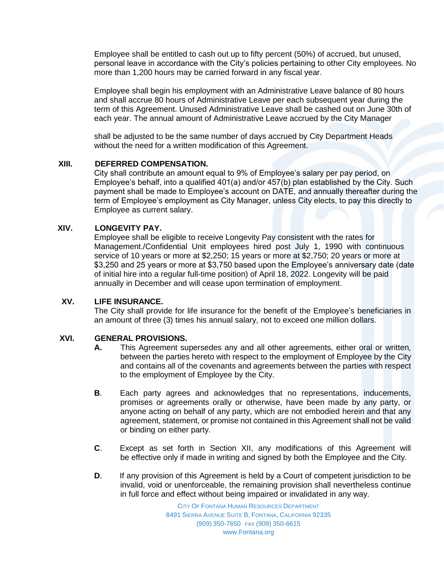Employee shall be entitled to cash out up to fifty percent (50%) of accrued, but unused, personal leave in accordance with the City's policies pertaining to other City employees. No more than 1,200 hours may be carried forward in any fiscal year.

Employee shall begin his employment with an Administrative Leave balance of 80 hours and shall accrue 80 hours of Administrative Leave per each subsequent year during the term of this Agreement. Unused Administrative Leave shall be cashed out on June 30th of each year. The annual amount of Administrative Leave accrued by the City Manager

shall be adjusted to be the same number of days accrued by City Department Heads without the need for a written modification of this Agreement.

#### **XIII. DEFERRED COMPENSATION.**

City shall contribute an amount equal to 9% of Employee's salary per pay period, on Employee's behalf, into a qualified 401(a) and/or 457(b) plan established by the City. Such payment shall be made to Employee's account on DATE, and annually thereafter during the term of Employee's employment as City Manager, unless City elects, to pay this directly to Employee as current salary.

### **XIV. LONGEVITY PAY.**

Employee shall be eligible to receive Longevity Pay consistent with the rates for Management./Confidential Unit employees hired post July 1, 1990 with continuous service of 10 years or more at \$2,250; 15 years or more at \$2,750; 20 years or more at \$3,250 and 25 years or more at \$3,750 based upon the Employee's anniversary date (date of initial hire into a regular full-time position) of April 18, 2022. Longevity will be paid annually in December and will cease upon termination of employment.

### **XV. LIFE INSURANCE.**

The City shall provide for life insurance for the benefit of the Employee's beneficiaries in an amount of three (3) times his annual salary, not to exceed one million dollars.

#### **XVI. GENERAL PROVISIONS.**

- **A.** This Agreement supersedes any and all other agreements, either oral or written, between the parties hereto with respect to the employment of Employee by the City and contains all of the covenants and agreements between the parties with respect to the employment of Employee by the City.
- **B**. Each party agrees and acknowledges that no representations, inducements, promises or agreements orally or otherwise, have been made by any party, or anyone acting on behalf of any party, which are not embodied herein and that any agreement, statement, or promise not contained in this Agreement shall not be valid or binding on either party.
- **C**. Except as set forth in Section XII, any modifications of this Agreement will be effective only if made in writing and signed by both the Employee and the City.
- **D.** If any provision of this Agreement is held by a Court of competent jurisdiction to be invalid, void or unenforceable, the remaining provision shall nevertheless continue in full force and effect without being impaired or invalidated in any way.